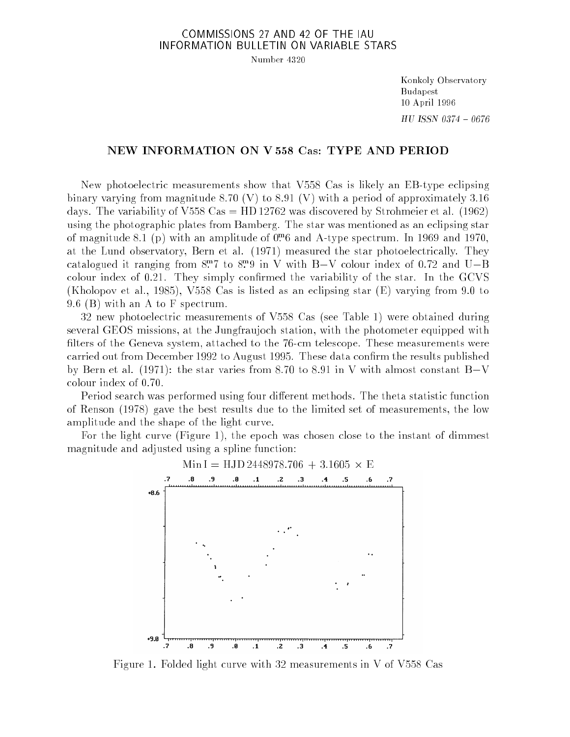## COMMISSIONS 27 AND 42 OF THE IAU INFORMATION BULLETIN ON VARIABLE STARS

Number 4320

Konkoly Observatory Budapest 10 April 1996  ${\it HU}$  ISSN 0374  $-$  0676

## NEW INFORMATION ON V 558 Cas: TYPE AND PERIOD

New photoelectric measurements show that V558 Cas is likely an EB-type eclipsing binary varying from magnitude 8.70 (V) to 8.91 (V) with a period of approximately 3.16 days. The variability of V558 Cas = HD 12762 was discovered by Strohmeier et al.  $(1962)$ using the photographic plates from Bamberg. The star was mentioned as an eclipsing star of magnitude 8.1 (p) with an amplitude of 0:m 6 and A-type spectrum. In 1969 and 1970, at the Lund observatory, Bern et al. (1971) measured the star photoelectrically. They catalogued it ranging from  $8.7$  to  $8.9$  in V with  $B-V$  colour index of 0.72 and  $U-D$ colour index of  $0.21$ . They simply confirmed the variability of the star. In the GCVS (Kholopov et al., 1985), V558 Cas is listed as an eclipsing star (E) varying from 9.0 to 9.6 (B) with an A to F spectrum.

32 new photoelectric measurements of V558 Cas (see Table 1) were obtained during several GEOS missions, at the Jungfraujoch station, with the photometer equipped with filters of the Geneva system, attached to the 76-cm telescope. These measurements were carried out from December 1992 to August 1995. These data confirm the results published by Bern et al. (1971): the star varies from 8.70 to 8.91 in V with almost constant  $B-V$ colour index of 0.70.

Period search was performed using four different methods. The theta statistic function of Renson (1978) gave the best results due to the limited set of measurements, the low amplitude and the shape of the light curve.

For the light curve (Figure 1), the epoch was chosen close to the instant of dimmest magnitude and adjusted using a spline function:



Figure 1. Folded light curve with 32 measurements in V of V558 Cas